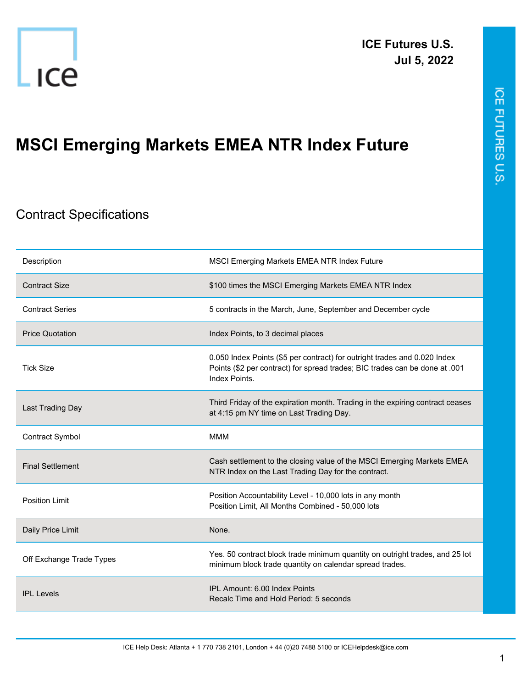



## **MSCI Emerging Markets EMEA NTR Index Future**

## Contract Specifications

| Description              | MSCI Emerging Markets EMEA NTR Index Future                                                                                                                               |
|--------------------------|---------------------------------------------------------------------------------------------------------------------------------------------------------------------------|
| <b>Contract Size</b>     | \$100 times the MSCI Emerging Markets EMEA NTR Index                                                                                                                      |
| <b>Contract Series</b>   | 5 contracts in the March, June, September and December cycle                                                                                                              |
| <b>Price Quotation</b>   | Index Points, to 3 decimal places                                                                                                                                         |
| <b>Tick Size</b>         | 0.050 Index Points (\$5 per contract) for outright trades and 0.020 Index<br>Points (\$2 per contract) for spread trades; BIC trades can be done at .001<br>Index Points. |
| Last Trading Day         | Third Friday of the expiration month. Trading in the expiring contract ceases<br>at 4:15 pm NY time on Last Trading Day.                                                  |
| <b>Contract Symbol</b>   | <b>MMM</b>                                                                                                                                                                |
| <b>Final Settlement</b>  | Cash settlement to the closing value of the MSCI Emerging Markets EMEA<br>NTR Index on the Last Trading Day for the contract.                                             |
| <b>Position Limit</b>    | Position Accountability Level - 10,000 lots in any month<br>Position Limit, All Months Combined - 50,000 lots                                                             |
| Daily Price Limit        | None.                                                                                                                                                                     |
| Off Exchange Trade Types | Yes. 50 contract block trade minimum quantity on outright trades, and 25 lot<br>minimum block trade quantity on calendar spread trades.                                   |
| <b>IPL Levels</b>        | IPL Amount: 6.00 Index Points<br>Recalc Time and Hold Period: 5 seconds                                                                                                   |